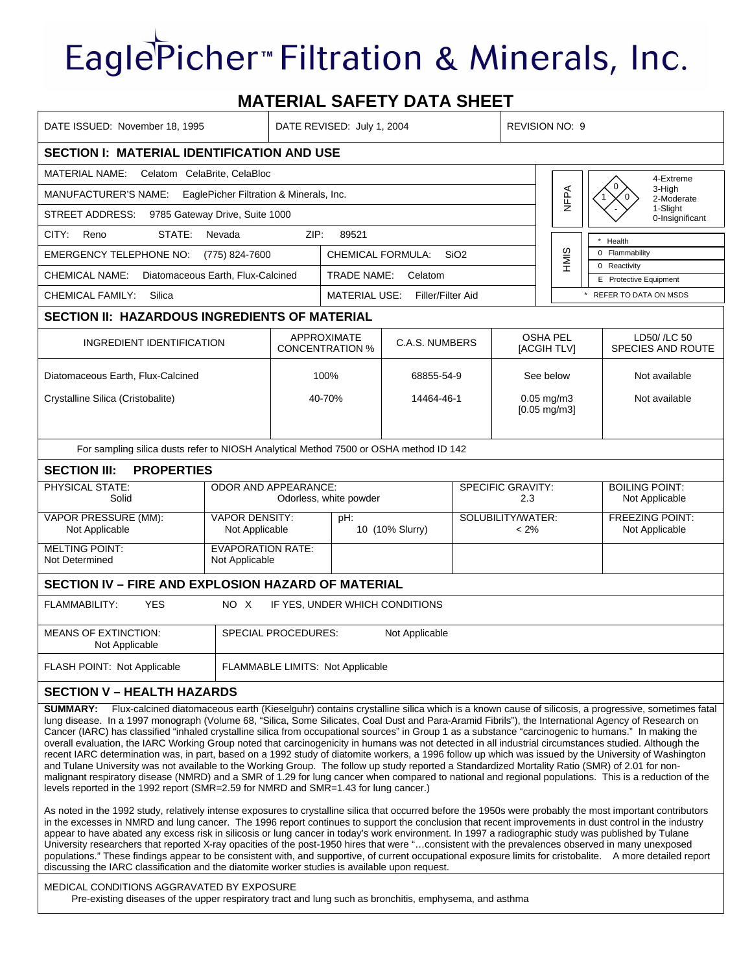## EaglePicher<sup>™</sup> Filtration & Minerals, Inc.

## **MATERIAL SAFETY DATA SHEET**

| DATE ISSUED: November 18, 1995                                                                                                                                                                                                                                                                                                                                                                                                                                                                                                                                                                                                                                                                                                                                                                                                                                                                                                                                                                                                                                                                                                                                                                                                                                                                                                                                                                                                                                                                                                                                                                                                                                                                                                                                                                                                                                                                                                                                                                                                                                                                      |                                            | DATE REVISED: July 1, 2004                            |                                                         |            | <b>REVISION NO: 9</b> |                                |                                           |                                                   |
|-----------------------------------------------------------------------------------------------------------------------------------------------------------------------------------------------------------------------------------------------------------------------------------------------------------------------------------------------------------------------------------------------------------------------------------------------------------------------------------------------------------------------------------------------------------------------------------------------------------------------------------------------------------------------------------------------------------------------------------------------------------------------------------------------------------------------------------------------------------------------------------------------------------------------------------------------------------------------------------------------------------------------------------------------------------------------------------------------------------------------------------------------------------------------------------------------------------------------------------------------------------------------------------------------------------------------------------------------------------------------------------------------------------------------------------------------------------------------------------------------------------------------------------------------------------------------------------------------------------------------------------------------------------------------------------------------------------------------------------------------------------------------------------------------------------------------------------------------------------------------------------------------------------------------------------------------------------------------------------------------------------------------------------------------------------------------------------------------------|--------------------------------------------|-------------------------------------------------------|---------------------------------------------------------|------------|-----------------------|--------------------------------|-------------------------------------------|---------------------------------------------------|
| <b>SECTION I: MATERIAL IDENTIFICATION AND USE</b>                                                                                                                                                                                                                                                                                                                                                                                                                                                                                                                                                                                                                                                                                                                                                                                                                                                                                                                                                                                                                                                                                                                                                                                                                                                                                                                                                                                                                                                                                                                                                                                                                                                                                                                                                                                                                                                                                                                                                                                                                                                   |                                            |                                                       |                                                         |            |                       |                                |                                           |                                                   |
| <b>MATERIAL NAME:</b><br>Celatom CelaBrite, CelaBloc<br>4-Extreme                                                                                                                                                                                                                                                                                                                                                                                                                                                                                                                                                                                                                                                                                                                                                                                                                                                                                                                                                                                                                                                                                                                                                                                                                                                                                                                                                                                                                                                                                                                                                                                                                                                                                                                                                                                                                                                                                                                                                                                                                                   |                                            |                                                       |                                                         |            |                       |                                |                                           |                                                   |
| EaglePicher Filtration & Minerals, Inc.<br>MANUFACTURER'S NAME:                                                                                                                                                                                                                                                                                                                                                                                                                                                                                                                                                                                                                                                                                                                                                                                                                                                                                                                                                                                                                                                                                                                                                                                                                                                                                                                                                                                                                                                                                                                                                                                                                                                                                                                                                                                                                                                                                                                                                                                                                                     |                                            |                                                       |                                                         |            |                       |                                | <b>NFPA</b>                               | 0<br>3-High<br>2-Moderate                         |
| 1-Slight<br>9785 Gateway Drive, Suite 1000<br>STREET ADDRESS:                                                                                                                                                                                                                                                                                                                                                                                                                                                                                                                                                                                                                                                                                                                                                                                                                                                                                                                                                                                                                                                                                                                                                                                                                                                                                                                                                                                                                                                                                                                                                                                                                                                                                                                                                                                                                                                                                                                                                                                                                                       |                                            |                                                       |                                                         |            |                       |                                |                                           | 0-Insignificant                                   |
| ZIP:<br>CITY:<br>Reno<br>STATE:<br>Nevada<br>89521                                                                                                                                                                                                                                                                                                                                                                                                                                                                                                                                                                                                                                                                                                                                                                                                                                                                                                                                                                                                                                                                                                                                                                                                                                                                                                                                                                                                                                                                                                                                                                                                                                                                                                                                                                                                                                                                                                                                                                                                                                                  |                                            |                                                       |                                                         |            |                       |                                |                                           |                                                   |
| <b>EMERGENCY TELEPHONE NO:</b><br>(775) 824-7600                                                                                                                                                                                                                                                                                                                                                                                                                                                                                                                                                                                                                                                                                                                                                                                                                                                                                                                                                                                                                                                                                                                                                                                                                                                                                                                                                                                                                                                                                                                                                                                                                                                                                                                                                                                                                                                                                                                                                                                                                                                    |                                            |                                                       | CHEMICAL FORMULA:<br>SiO <sub>2</sub>                   |            |                       |                                | HMIS                                      | Health<br>0 Flammability                          |
| <b>CHEMICAL NAME:</b>                                                                                                                                                                                                                                                                                                                                                                                                                                                                                                                                                                                                                                                                                                                                                                                                                                                                                                                                                                                                                                                                                                                                                                                                                                                                                                                                                                                                                                                                                                                                                                                                                                                                                                                                                                                                                                                                                                                                                                                                                                                                               | TRADE NAME:<br>Celatom                     |                                                       |                                                         |            |                       |                                | 0 Reactivity                              |                                                   |
| Diatomaceous Earth, Flux-Calcined<br>Silica                                                                                                                                                                                                                                                                                                                                                                                                                                                                                                                                                                                                                                                                                                                                                                                                                                                                                                                                                                                                                                                                                                                                                                                                                                                                                                                                                                                                                                                                                                                                                                                                                                                                                                                                                                                                                                                                                                                                                                                                                                                         |                                            |                                                       |                                                         |            |                       |                                |                                           | E Protective Equipment<br>* REFER TO DATA ON MSDS |
| <b>CHEMICAL FAMILY:</b><br><b>MATERIAL USE:</b><br>Filler/Filter Aid                                                                                                                                                                                                                                                                                                                                                                                                                                                                                                                                                                                                                                                                                                                                                                                                                                                                                                                                                                                                                                                                                                                                                                                                                                                                                                                                                                                                                                                                                                                                                                                                                                                                                                                                                                                                                                                                                                                                                                                                                                |                                            |                                                       |                                                         |            |                       |                                |                                           |                                                   |
| <b>SECTION II: HAZARDOUS INGREDIENTS OF MATERIAL</b>                                                                                                                                                                                                                                                                                                                                                                                                                                                                                                                                                                                                                                                                                                                                                                                                                                                                                                                                                                                                                                                                                                                                                                                                                                                                                                                                                                                                                                                                                                                                                                                                                                                                                                                                                                                                                                                                                                                                                                                                                                                |                                            |                                                       |                                                         |            |                       |                                |                                           |                                                   |
|                                                                                                                                                                                                                                                                                                                                                                                                                                                                                                                                                                                                                                                                                                                                                                                                                                                                                                                                                                                                                                                                                                                                                                                                                                                                                                                                                                                                                                                                                                                                                                                                                                                                                                                                                                                                                                                                                                                                                                                                                                                                                                     | INGREDIENT IDENTIFICATION                  |                                                       | APPROXIMATE<br>C.A.S. NUMBERS<br><b>CONCENTRATION %</b> |            |                       | <b>OSHA PEL</b><br>[ACGIH TLV] |                                           | LD50/ /LC 50<br>SPECIES AND ROUTE                 |
| Diatomaceous Earth, Flux-Calcined                                                                                                                                                                                                                                                                                                                                                                                                                                                                                                                                                                                                                                                                                                                                                                                                                                                                                                                                                                                                                                                                                                                                                                                                                                                                                                                                                                                                                                                                                                                                                                                                                                                                                                                                                                                                                                                                                                                                                                                                                                                                   |                                            |                                                       | 100%                                                    | 68855-54-9 |                       | See below                      |                                           | Not available                                     |
| Crystalline Silica (Cristobalite)                                                                                                                                                                                                                                                                                                                                                                                                                                                                                                                                                                                                                                                                                                                                                                                                                                                                                                                                                                                                                                                                                                                                                                                                                                                                                                                                                                                                                                                                                                                                                                                                                                                                                                                                                                                                                                                                                                                                                                                                                                                                   |                                            |                                                       | 40-70%                                                  |            | 14464-46-1            |                                | $0.05$ mg/m $3$<br>$[0.05 \text{ mg/m3}]$ | Not available                                     |
| For sampling silica dusts refer to NIOSH Analytical Method 7500 or OSHA method ID 142                                                                                                                                                                                                                                                                                                                                                                                                                                                                                                                                                                                                                                                                                                                                                                                                                                                                                                                                                                                                                                                                                                                                                                                                                                                                                                                                                                                                                                                                                                                                                                                                                                                                                                                                                                                                                                                                                                                                                                                                               |                                            |                                                       |                                                         |            |                       |                                |                                           |                                                   |
| <b>PROPERTIES</b><br><b>SECTION III:</b>                                                                                                                                                                                                                                                                                                                                                                                                                                                                                                                                                                                                                                                                                                                                                                                                                                                                                                                                                                                                                                                                                                                                                                                                                                                                                                                                                                                                                                                                                                                                                                                                                                                                                                                                                                                                                                                                                                                                                                                                                                                            |                                            |                                                       |                                                         |            |                       |                                |                                           |                                                   |
| PHYSICAL STATE:<br>Solid                                                                                                                                                                                                                                                                                                                                                                                                                                                                                                                                                                                                                                                                                                                                                                                                                                                                                                                                                                                                                                                                                                                                                                                                                                                                                                                                                                                                                                                                                                                                                                                                                                                                                                                                                                                                                                                                                                                                                                                                                                                                            |                                            | <b>ODOR AND APPEARANCE:</b><br>Odorless, white powder |                                                         |            |                       | SPECIFIC GRAVITY:<br>2.3       | <b>BOILING POINT:</b><br>Not Applicable   |                                                   |
| <b>VAPOR PRESSURE (MM):</b><br>Not Applicable                                                                                                                                                                                                                                                                                                                                                                                                                                                                                                                                                                                                                                                                                                                                                                                                                                                                                                                                                                                                                                                                                                                                                                                                                                                                                                                                                                                                                                                                                                                                                                                                                                                                                                                                                                                                                                                                                                                                                                                                                                                       | <b>VAPOR DENSITY:</b><br>Not Applicable    |                                                       | pH:<br>10 (10% Slurry)                                  |            |                       | SOLUBILITY/WATER:<br>$< 2\%$   |                                           | <b>FREEZING POINT:</b><br>Not Applicable          |
| <b>MELTING POINT:</b><br>Not Determined                                                                                                                                                                                                                                                                                                                                                                                                                                                                                                                                                                                                                                                                                                                                                                                                                                                                                                                                                                                                                                                                                                                                                                                                                                                                                                                                                                                                                                                                                                                                                                                                                                                                                                                                                                                                                                                                                                                                                                                                                                                             | <b>EVAPORATION RATE:</b><br>Not Applicable |                                                       |                                                         |            |                       |                                |                                           |                                                   |
| SECTION IV - FIRE AND EXPLOSION HAZARD OF MATERIAL                                                                                                                                                                                                                                                                                                                                                                                                                                                                                                                                                                                                                                                                                                                                                                                                                                                                                                                                                                                                                                                                                                                                                                                                                                                                                                                                                                                                                                                                                                                                                                                                                                                                                                                                                                                                                                                                                                                                                                                                                                                  |                                            |                                                       |                                                         |            |                       |                                |                                           |                                                   |
| FLAMMABILITY:<br>NO X<br>IF YES. UNDER WHICH CONDITIONS<br><b>YES</b>                                                                                                                                                                                                                                                                                                                                                                                                                                                                                                                                                                                                                                                                                                                                                                                                                                                                                                                                                                                                                                                                                                                                                                                                                                                                                                                                                                                                                                                                                                                                                                                                                                                                                                                                                                                                                                                                                                                                                                                                                               |                                            |                                                       |                                                         |            |                       |                                |                                           |                                                   |
| <b>MEANS OF EXTINCTION:</b><br>SPECIAL PROCEDURES:<br>Not Applicable<br>Not Applicable                                                                                                                                                                                                                                                                                                                                                                                                                                                                                                                                                                                                                                                                                                                                                                                                                                                                                                                                                                                                                                                                                                                                                                                                                                                                                                                                                                                                                                                                                                                                                                                                                                                                                                                                                                                                                                                                                                                                                                                                              |                                            |                                                       |                                                         |            |                       |                                |                                           |                                                   |
| FLASH POINT: Not Applicable                                                                                                                                                                                                                                                                                                                                                                                                                                                                                                                                                                                                                                                                                                                                                                                                                                                                                                                                                                                                                                                                                                                                                                                                                                                                                                                                                                                                                                                                                                                                                                                                                                                                                                                                                                                                                                                                                                                                                                                                                                                                         | FLAMMABLE LIMITS: Not Applicable           |                                                       |                                                         |            |                       |                                |                                           |                                                   |
| <b>SECTION V - HEALTH HAZARDS</b>                                                                                                                                                                                                                                                                                                                                                                                                                                                                                                                                                                                                                                                                                                                                                                                                                                                                                                                                                                                                                                                                                                                                                                                                                                                                                                                                                                                                                                                                                                                                                                                                                                                                                                                                                                                                                                                                                                                                                                                                                                                                   |                                            |                                                       |                                                         |            |                       |                                |                                           |                                                   |
| SUMMARY: Flux-calcined diatomaceous earth (Kieselguhr) contains crystalline silica which is a known cause of silicosis, a progressive, sometimes fatal<br>lung disease. In a 1997 monograph (Volume 68, "Silica, Some Silicates, Coal Dust and Para-Aramid Fibrils"), the International Agency of Research on<br>Cancer (IARC) has classified "inhaled crystalline silica from occupational sources" in Group 1 as a substance "carcinogenic to humans." In making the<br>overall evaluation, the IARC Working Group noted that carcinogenicity in humans was not detected in all industrial circumstances studied. Although the<br>recent IARC determination was, in part, based on a 1992 study of diatomite workers, a 1996 follow up which was issued by the University of Washington<br>and Tulane University was not available to the Working Group. The follow up study reported a Standardized Mortality Ratio (SMR) of 2.01 for non-<br>malignant respiratory disease (NMRD) and a SMR of 1.29 for lung cancer when compared to national and regional populations. This is a reduction of the<br>levels reported in the 1992 report (SMR=2.59 for NMRD and SMR=1.43 for lung cancer.)<br>As noted in the 1992 study, relatively intense exposures to crystalline silica that occurred before the 1950s were probably the most important contributors<br>in the excesses in NMRD and lung cancer. The 1996 report continues to support the conclusion that recent improvements in dust control in the industry<br>appear to have abated any excess risk in silicosis or lung cancer in today's work environment. In 1997 a radiographic study was published by Tulane<br>University researchers that reported X-ray opacities of the post-1950 hires that were "consistent with the prevalences observed in many unexposed<br>populations." These findings appear to be consistent with, and supportive, of current occupational exposure limits for cristobalite. A more detailed report<br>discussing the IARC classification and the diatomite worker studies is available upon request. |                                            |                                                       |                                                         |            |                       |                                |                                           |                                                   |

## MEDICAL CONDITIONS AGGRAVATED BY EXPOSURE Pre-existing diseases of the upper respiratory tract and lung such as bronchitis, emphysema, and asthma